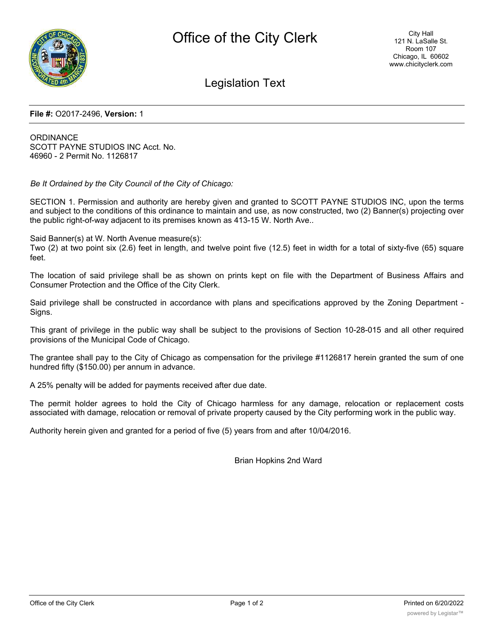

# Legislation Text

#### **File #:** O2017-2496, **Version:** 1

**ORDINANCE** SCOTT PAYNE STUDIOS INC Acct. No. 46960 - 2 Permit No. 1126817

*Be It Ordained by the City Council of the City of Chicago:*

SECTION 1. Permission and authority are hereby given and granted to SCOTT PAYNE STUDIOS INC, upon the terms and subject to the conditions of this ordinance to maintain and use, as now constructed, two (2) Banner(s) projecting over the public right-of-way adjacent to its premises known as 413-15 W. North Ave..

Said Banner(s) at W. North Avenue measure(s):

Two (2) at two point six (2.6) feet in length, and twelve point five (12.5) feet in width for a total of sixty-five (65) square feet.

The location of said privilege shall be as shown on prints kept on file with the Department of Business Affairs and Consumer Protection and the Office of the City Clerk.

Said privilege shall be constructed in accordance with plans and specifications approved by the Zoning Department - Signs.

This grant of privilege in the public way shall be subject to the provisions of Section 10-28-015 and all other required provisions of the Municipal Code of Chicago.

The grantee shall pay to the City of Chicago as compensation for the privilege #1126817 herein granted the sum of one hundred fifty (\$150.00) per annum in advance.

A 25% penalty will be added for payments received after due date.

The permit holder agrees to hold the City of Chicago harmless for any damage, relocation or replacement costs associated with damage, relocation or removal of private property caused by the City performing work in the public way.

Authority herein given and granted for a period of five (5) years from and after 10/04/2016.

Brian Hopkins 2nd Ward